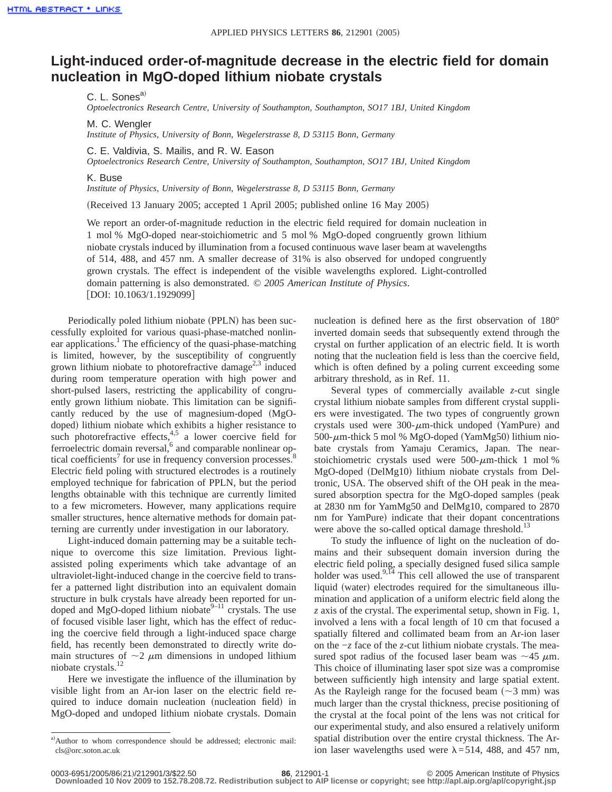## **Light-induced order-of-magnitude decrease in the electric field for domain nucleation in MgO-doped lithium niobate crystals**

C. L. Sones<sup>a)</sup>

*Optoelectronics Research Centre, University of Southampton, Southampton, SO17 1BJ, United Kingdom*

M. C. Wengler

*Institute of Physics, University of Bonn, Wegelerstrasse 8, D 53115 Bonn, Germany*

C. E. Valdivia, S. Mailis, and R. W. Eason

*Optoelectronics Research Centre, University of Southampton, Southampton, SO17 1BJ, United Kingdom*

## K. Buse

*Institute of Physics, University of Bonn, Wegelerstrasse 8, D 53115 Bonn, Germany*

(Received 13 January 2005; accepted 1 April 2005; published online 16 May 2005)

We report an order-of-magnitude reduction in the electric field required for domain nucleation in 1 mol % MgO-doped near-stoichiometric and 5 mol % MgO-doped congruently grown lithium niobate crystals induced by illumination from a focused continuous wave laser beam at wavelengths of 514, 488, and 457 nm. A smaller decrease of 31% is also observed for undoped congruently grown crystals. The effect is independent of the visible wavelengths explored. Light-controlled domain patterning is also demonstrated. © *2005 American Institute of Physics*. [DOI: 10.1063/1.1929099]

Periodically poled lithium niobate (PPLN) has been successfully exploited for various quasi-phase-matched nonlinear applications.<sup>1</sup> The efficiency of the quasi-phase-matching is limited, however, by the susceptibility of congruently grown lithium niobate to photorefractive damage<sup> $2,3$ </sup> induced during room temperature operation with high power and short-pulsed lasers, restricting the applicability of congruently grown lithium niobate. This limitation can be significantly reduced by the use of magnesium-doped  $(MgO$ doped) lithium niobate which exhibits a higher resistance to such photorefractive effects,  $4.5$  a lower coercive field for ferroelectric domain reversal,<sup>6</sup> and comparable nonlinear optical coefficients<sup>7</sup> for use in frequency conversion processes.<sup>8</sup> Electric field poling with structured electrodes is a routinely employed technique for fabrication of PPLN, but the period lengths obtainable with this technique are currently limited to a few micrometers. However, many applications require smaller structures, hence alternative methods for domain patterning are currently under investigation in our laboratory.

Light-induced domain patterning may be a suitable technique to overcome this size limitation. Previous lightassisted poling experiments which take advantage of an ultraviolet-light-induced change in the coercive field to transfer a patterned light distribution into an equivalent domain structure in bulk crystals have already been reported for undoped and MgO-doped lithium niobate $9-11$  crystals. The use of focused visible laser light, which has the effect of reducing the coercive field through a light-induced space charge field, has recently been demonstrated to directly write domain structures of  $\sim$ 2  $\mu$ m dimensions in undoped lithium niobate crystals.<sup>12</sup>

Here we investigate the influence of the illumination by visible light from an Ar-ion laser on the electric field required to induce domain nucleation (nucleation field) in MgO-doped and undoped lithium niobate crystals. Domain nucleation is defined here as the first observation of 180° inverted domain seeds that subsequently extend through the crystal on further application of an electric field. It is worth noting that the nucleation field is less than the coercive field, which is often defined by a poling current exceeding some arbitrary threshold, as in Ref. 11.

Several types of commercially available *z*-cut single crystal lithium niobate samples from different crystal suppliers were investigated. The two types of congruently grown crystals used were  $300$ - $\mu$ m-thick undoped (YamPure) and 500- $\mu$ m-thick 5 mol % MgO-doped (YamMg50) lithium niobate crystals from Yamaju Ceramics, Japan. The nearstoichiometric crystals used were  $500$ - $\mu$ m-thick 1 mol % MgO-doped (DelMg10) lithium niobate crystals from Deltronic, USA. The observed shift of the OH peak in the measured absorption spectra for the MgO-doped samples (peak at 2830 nm for YamMg50 and DelMg10, compared to 2870 nm for YamPure) indicate that their dopant concentrations were above the so-called optical damage threshold.<sup>13</sup>

To study the influence of light on the nucleation of domains and their subsequent domain inversion during the electric field poling, a specially designed fused silica sample holder was used. $9,14$  This cell allowed the use of transparent liquid (water) electrodes required for the simultaneous illumination and application of a uniform electric field along the *z* axis of the crystal. The experimental setup, shown in Fig. 1, involved a lens with a focal length of 10 cm that focused a spatially filtered and collimated beam from an Ar-ion laser on the −*z* face of the *z*-cut lithium niobate crystals. The measured spot radius of the focused laser beam was  $\sim$ 45  $\mu$ m. This choice of illuminating laser spot size was a compromise between sufficiently high intensity and large spatial extent. As the Rayleigh range for the focused beam  $(\sim 3 \text{ mm})$  was much larger than the crystal thickness, precise positioning of the crystal at the focal point of the lens was not critical for our experimental study, and also ensured a relatively uniform spatial distribution over the entire crystal thickness. The Arion laser wavelengths used were  $\lambda$ =514, 488, and 457 nm,

a)Author to whom correspondence should be addressed; electronic mail: cls@orc.soton.ac.uk

<sup>0003-6951/2005/86(21)/212901/3/\$22.50</sup> **86**, 212901-1 © 2005 American Institute of Physics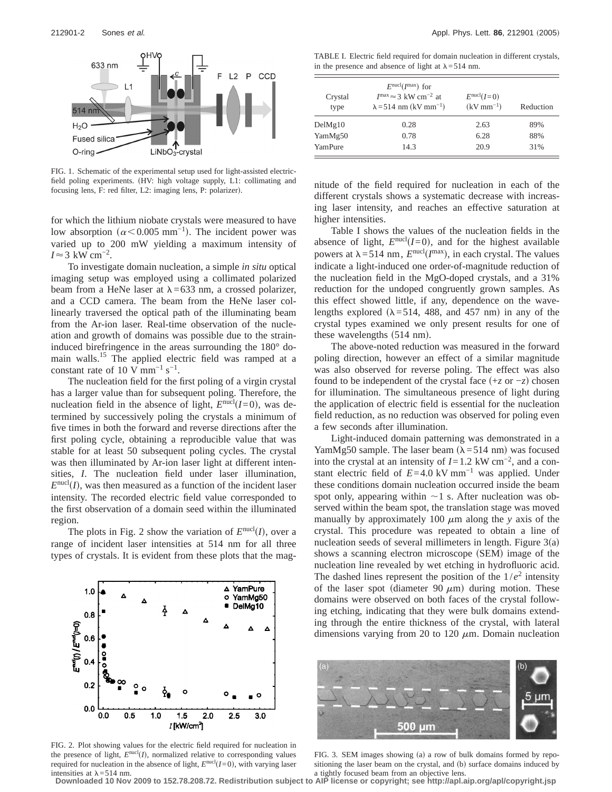

FIG. 1. Schematic of the experimental setup used for light-assisted electricfield poling experiments. (HV: high voltage supply, L1: collimating and focusing lens, F: red filter, L2: imaging lens, P: polarizer).

for which the lithium niobate crystals were measured to have low absorption ( $\alpha$ <0.005 mm<sup>-1</sup>). The incident power was varied up to 200 mW yielding a maximum intensity of  $I \approx 3$  kW cm<sup>-2</sup>.

To investigate domain nucleation, a simple *in situ* optical imaging setup was employed using a collimated polarized beam from a HeNe laser at  $\lambda$ =633 nm, a crossed polarizer, and a CCD camera. The beam from the HeNe laser collinearly traversed the optical path of the illuminating beam from the Ar-ion laser. Real-time observation of the nucleation and growth of domains was possible due to the straininduced birefringence in the areas surrounding the 180° domain walls.<sup>15</sup> The applied electric field was ramped at a constant rate of 10 V mm<sup>-1</sup> s<sup>-1</sup>.

The nucleation field for the first poling of a virgin crystal has a larger value than for subsequent poling. Therefore, the nucleation field in the absence of light,  $E<sup>nucl</sup>(I=0)$ , was determined by successively poling the crystals a minimum of five times in both the forward and reverse directions after the first poling cycle, obtaining a reproducible value that was stable for at least 50 subsequent poling cycles. The crystal was then illuminated by Ar-ion laser light at different intensities, *I*. The nucleation field under laser illumination,  $E<sup>nucl</sup>(I)$ , was then measured as a function of the incident laser intensity. The recorded electric field value corresponded to the first observation of a domain seed within the illuminated region.

The plots in Fig. 2 show the variation of  $E^{nu}(I)$ , over a range of incident laser intensities at 514 nm for all three types of crystals. It is evident from these plots that the mag-



FIG. 2. Plot showing values for the electric field required for nucleation in the presence of light,  $E<sup>nucl</sup>(I)$ , normalized relative to corresponding values required for nucleation in the absence of light,  $E<sup>nucl</sup>(I=0)$ , with varying laser intensities at  $\lambda$ =514 nm.

TABLE I. Electric field required for domain nucleation in different crystals, in the presence and absence of light at  $\lambda$ =514 nm.

| Crystal<br>type | $E^{\text{nucl}}(I^{\text{max}})$ for<br>$I^{\text{max}} \approx 3 \text{ kW cm}^{-2}$ at<br>$\lambda = 514$ nm (kV mm <sup>-1</sup> ) | $E^{\text{nucl}}(I=0)$<br>$(kV \, \text{mm}^{-1})$ | Reduction |
|-----------------|----------------------------------------------------------------------------------------------------------------------------------------|----------------------------------------------------|-----------|
| DelMg10         | 0.28                                                                                                                                   | 2.63                                               | 89%       |
| YamMg50         | 0.78                                                                                                                                   | 6.28                                               | 88%       |
| YamPure         | 14.3                                                                                                                                   | 20.9                                               | 31%       |

nitude of the field required for nucleation in each of the different crystals shows a systematic decrease with increasing laser intensity, and reaches an effective saturation at higher intensities.

Table I shows the values of the nucleation fields in the absence of light,  $E^{nucl}(I=0)$ , and for the highest available powers at  $\lambda = 514$  nm,  $E^{nucl}(I^{max})$ , in each crystal. The values indicate a light-induced one order-of-magnitude reduction of the nucleation field in the MgO-doped crystals, and a 31% reduction for the undoped congruently grown samples. As this effect showed little, if any, dependence on the wavelengths explored ( $\lambda$ =514, 488, and 457 nm) in any of the crystal types examined we only present results for one of these wavelengths  $(514 \text{ nm})$ .

The above-noted reduction was measured in the forward poling direction, however an effect of a similar magnitude was also observed for reverse poling. The effect was also found to be independent of the crystal face  $(+z \text{ or } -z)$  chosen for illumination. The simultaneous presence of light during the application of electric field is essential for the nucleation field reduction, as no reduction was observed for poling even a few seconds after illumination.

Light-induced domain patterning was demonstrated in a YamMg50 sample. The laser beam ( $\lambda$ =514 nm) was focused into the crystal at an intensity of *I*=1.2 kW cm−2, and a constant electric field of  $E=4.0 \text{ kV mm}^{-1}$  was applied. Under these conditions domain nucleation occurred inside the beam spot only, appearing within  $\sim$ 1 s. After nucleation was observed within the beam spot, the translation stage was moved manually by approximately 100  $\mu$ m along the *y* axis of the crystal. This procedure was repeated to obtain a line of nucleation seeds of several millimeters in length. Figure  $3(a)$ shows a scanning electron microscope (SEM) image of the nucleation line revealed by wet etching in hydrofluoric acid. The dashed lines represent the position of the  $1/e^2$  intensity of the laser spot (diameter 90  $\mu$ m) during motion. These domains were observed on both faces of the crystal following etching, indicating that they were bulk domains extending through the entire thickness of the crystal, with lateral dimensions varying from 20 to 120  $\mu$ m. Domain nucleation



FIG. 3. SEM images showing (a) a row of bulk domains formed by repositioning the laser beam on the crystal, and (b) surface domains induced by a tightly focused beam from an objective lens.

**Downloaded 10 Nov 2009 to 152.78.208.72. Redistribution subject to AIP license or copyright; see http://apl.aip.org/apl/copyright.jsp**